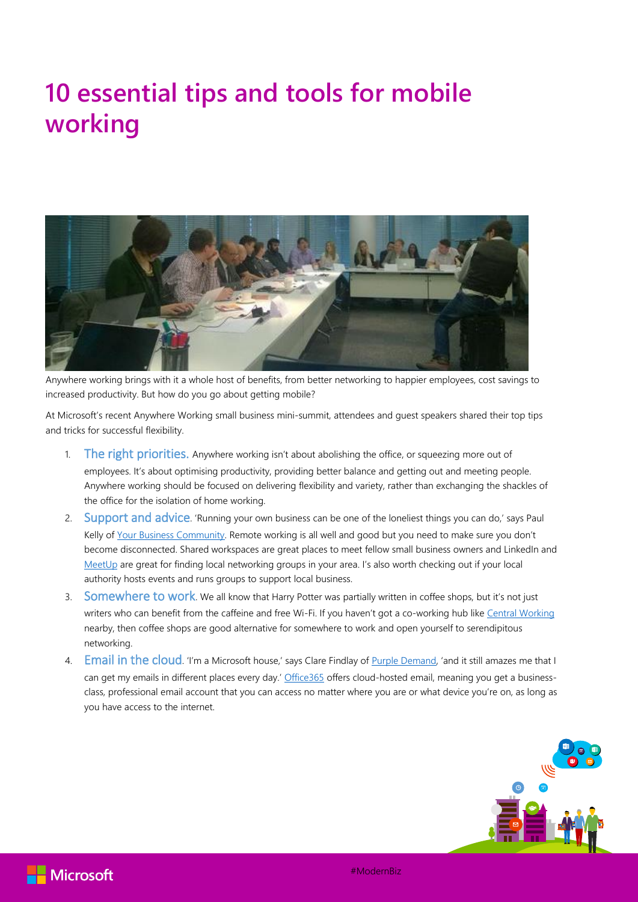## **10 essential tips and tools for mobile working**



Anywhere working brings with it a whole host of benefits, from better networking to happier employees, cost savings to increased productivity. But how do you go about getting mobile?

At Microsoft's recent Anywhere Working small business mini-summit, attendees and guest speakers shared their top tips and tricks for successful flexibility.

- 1. The right priorities. Anywhere working isn't about abolishing the office, or squeezing more out of employees. It's about optimising productivity, providing better balance and getting out and meeting people. Anywhere working should be focused on delivering flexibility and variety, rather than exchanging the shackles of the office for the isolation of home working.
- 2. Support and advice. 'Running your own business can be one of the loneliest things you can do,' says Paul Kelly of [Your Business Community.](https://yourbusinesscommunity.co.uk/) Remote working is all well and good but you need to make sure you don't become disconnected. Shared workspaces are great places to meet fellow small business owners and LinkedIn and [MeetUp](http://www.meetup.com/) are great for finding local networking groups in your area. I's also worth checking out if your local authority hosts events and runs groups to support local business.
- 3. Somewhere to work. We all know that Harry Potter was partially written in coffee shops, but it's not just writers who can benefit from the caffeine and free Wi-Fi. If you haven't got a co-working hub lik[e Central Working](http://centralworking.com/) nearby, then coffee shops are good alternative for somewhere to work and open yourself to serendipitous networking.
- 4. Email in the cloud. 'I'm a Microsoft house,' says Clare Findlay of [Purple Demand](http://purpledemand.com/), 'and it still amazes me that I can get my emails in different places every day.' [Office365](http://www.microsoft.com/en-gb/smb/products/office-365) offers cloud-hosted email, meaning you get a businessclass, professional email account that you can access no matter where you are or what device you're on, as long as you have access to the internet.